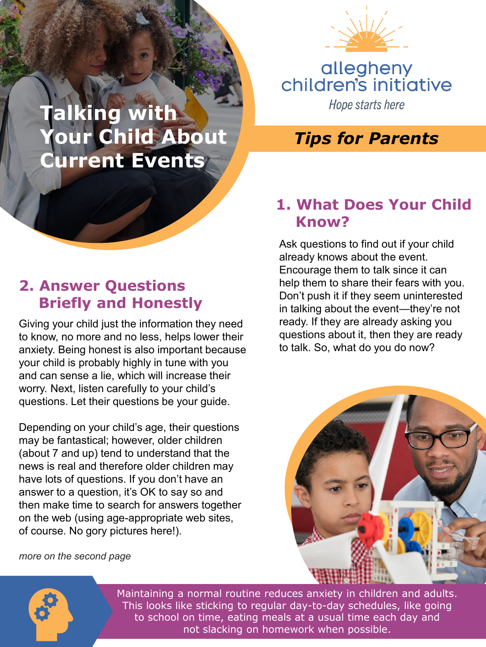

# allegheny<br>children's initiative Hope starts here

#### *Tips for Parents*

#### **1. What Does Your Child Know?**

Ask questions to find out if your child already knows about the event. Encourage them to talk since it can help them to share their fears with you. Don't push it if they seem uninterested in talking about the event—they're not ready. If they are already asking you questions about it, then they are ready to talk. So, what do you do now?



**Talking with** 

**Your Child About**

**Current Events**

Giving your child just the information they need to know, no more and no less, helps lower their anxiety. Being honest is also important because your child is probably highly in tune with you and can sense a lie, which will increase their worry. Next, listen carefully to your child's questions. Let their questions be your guide.

Depending on your child's age, their questions may be fantastical; however, older children (about 7 and up) tend to understand that the news is real and therefore older children may have lots of questions. If you don't have an answer to a question, it's OK to say so and then make time to search for answers together on the web (using age-appropriate web sites, of course. No gory pictures here!).

#### *more on the second page*





Maintaining a normal routine reduces anxiety in children and adults. This looks like sticking to regular day-to-day schedules, like going to school on time, eating meals at a usual time each day and not slacking on homework when possible.